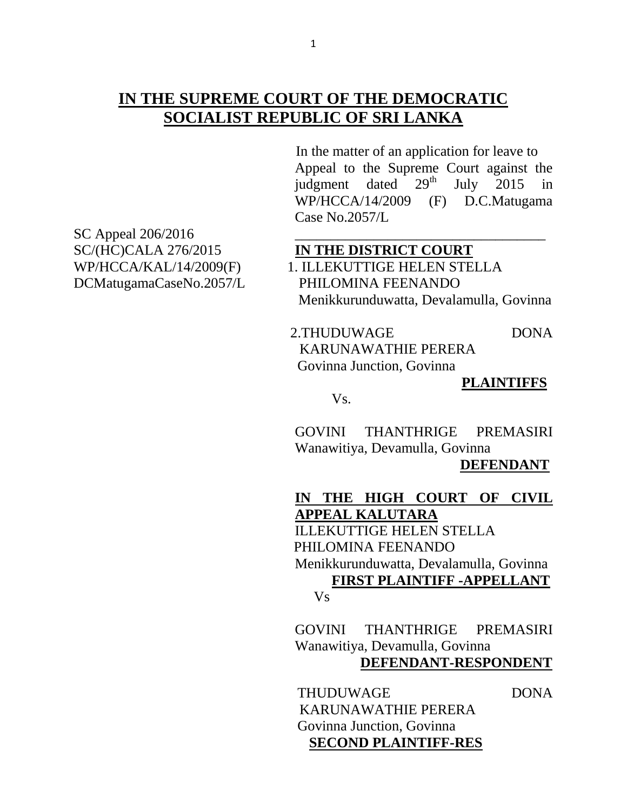# **IN THE SUPREME COURT OF THE DEMOCRATIC SOCIALIST REPUBLIC OF SRI LANKA**

 In the matter of an application for leave to Appeal to the Supreme Court against the judgment dated  $29<sup>th</sup>$  July 2015 in WP/HCCA/14/2009 (F) D.C.Matugama Case No.2057/L

SC Appeal 206/2016 SC/(HC)CALA 276/2015 **IN THE DISTRICT COURT** DCMatugamaCaseNo.2057/L PHILOMINA FEENANDO

WP/HCCA/KAL/14/2009(F) 1. ILLEKUTTIGE HELEN STELLA Menikkurunduwatta, Devalamulla, Govinna

> 2.THUDUWAGE DONA KARUNAWATHIE PERERA Govinna Junction, Govinna

#### **PLAINTIFFS**

Vs.

GOVINI THANTHRIGE PREMASIRI Wanawitiya, Devamulla, Govinna

 **DEFENDANT**

**IN THE HIGH COURT OF CIVIL APPEAL KALUTARA** ILLEKUTTIGE HELEN STELLA PHILOMINA FEENANDO Menikkurunduwatta, Devalamulla, Govinna  **FIRST PLAINTIFF -APPELLANT** Vs

> GOVINI THANTHRIGE PREMASIRI Wanawitiya, Devamulla, Govinna

 **DEFENDANT-RESPONDENT**

THUDUWAGE DONA KARUNAWATHIE PERERA Govinna Junction, Govinna  **SECOND PLAINTIFF-RES**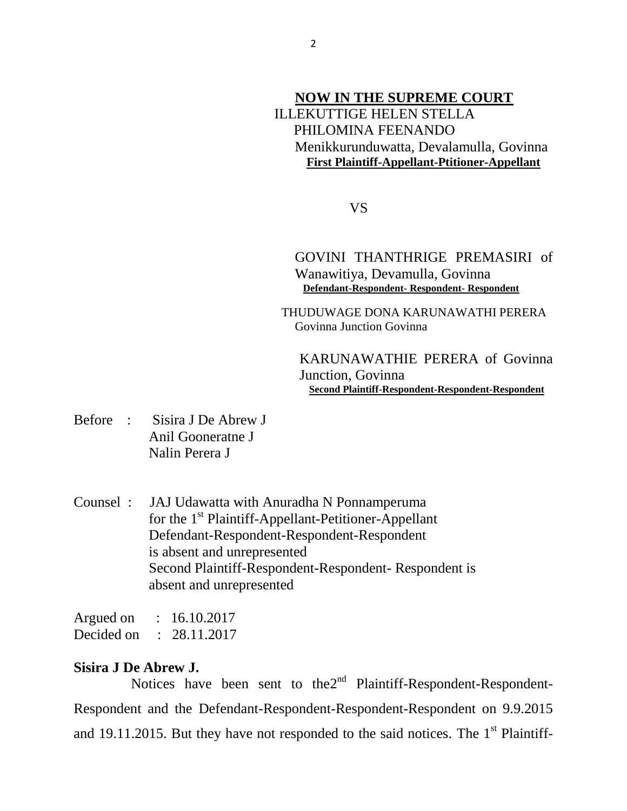# **NOW IN THE SUPREME COURT** ILLEKUTTIGE HELEN STELLA PHILOMINA FEENANDO Menikkurunduwatta, Devalamulla, Govinna  **First Plaintiff-Appellant-Ptitioner-Appellant**

VS

GOVINI THANTHRIGE PREMASIRI of Wanawitiya, Devamulla, Govinna  **Defendant-Respondent- Respondent- Respondent**

 THUDUWAGE DONA KARUNAWATHI PERERA Govinna Junction Govinna

KARUNAWATHIE PERERA of Govinna Junction, Govinna  **Second Plaintiff-Respondent-Respondent-Respondent**

- Before : Sisira J De Abrew J Anil Gooneratne J Nalin Perera J
- Counsel : JAJ Udawatta with Anuradha N Ponnamperuma for the  $1<sup>st</sup>$  Plaintiff-Appellant-Petitioner-Appellant Defendant-Respondent-Respondent-Respondent is absent and unrepresented Second Plaintiff-Respondent-Respondent- Respondent is absent and unrepresented

| Argued on  | 16.10.2017   |
|------------|--------------|
| Decided on | : 28.11.2017 |

## **Sisira J De Abrew J.**

Notices have been sent to the $2<sup>nd</sup>$  Plaintiff-Respondent-Respondent-Respondent and the Defendant-Respondent-Respondent-Respondent on 9.9.2015 and 19.11.2015. But they have not responded to the said notices. The  $1<sup>st</sup>$  Plaintiff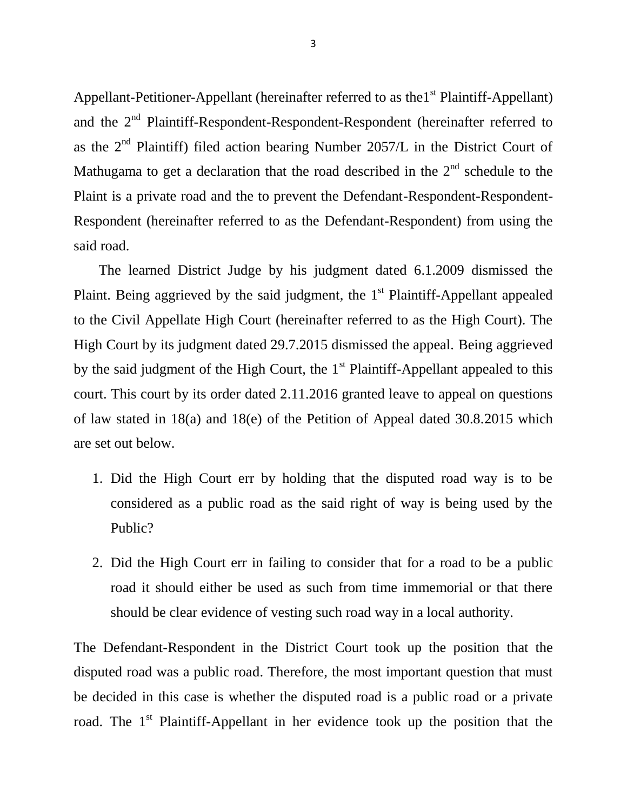Appellant-Petitioner-Appellant (hereinafter referred to as the  $1<sup>st</sup>$  Plaintiff-Appellant) and the 2<sup>nd</sup> Plaintiff-Respondent-Respondent-Respondent (hereinafter referred to as the  $2<sup>nd</sup>$  Plaintiff) filed action bearing Number 2057/L in the District Court of Mathugama to get a declaration that the road described in the  $2<sup>nd</sup>$  schedule to the Plaint is a private road and the to prevent the Defendant-Respondent-Respondent-Respondent (hereinafter referred to as the Defendant-Respondent) from using the said road.

 The learned District Judge by his judgment dated 6.1.2009 dismissed the Plaint. Being aggrieved by the said judgment, the  $1<sup>st</sup>$  Plaintiff-Appellant appealed to the Civil Appellate High Court (hereinafter referred to as the High Court). The High Court by its judgment dated 29.7.2015 dismissed the appeal. Being aggrieved by the said judgment of the High Court, the  $1<sup>st</sup>$  Plaintiff-Appellant appealed to this court. This court by its order dated 2.11.2016 granted leave to appeal on questions of law stated in 18(a) and 18(e) of the Petition of Appeal dated 30.8.2015 which are set out below.

- 1. Did the High Court err by holding that the disputed road way is to be considered as a public road as the said right of way is being used by the Public?
- 2. Did the High Court err in failing to consider that for a road to be a public road it should either be used as such from time immemorial or that there should be clear evidence of vesting such road way in a local authority.

The Defendant-Respondent in the District Court took up the position that the disputed road was a public road. Therefore, the most important question that must be decided in this case is whether the disputed road is a public road or a private road. The  $1<sup>st</sup>$  Plaintiff-Appellant in her evidence took up the position that the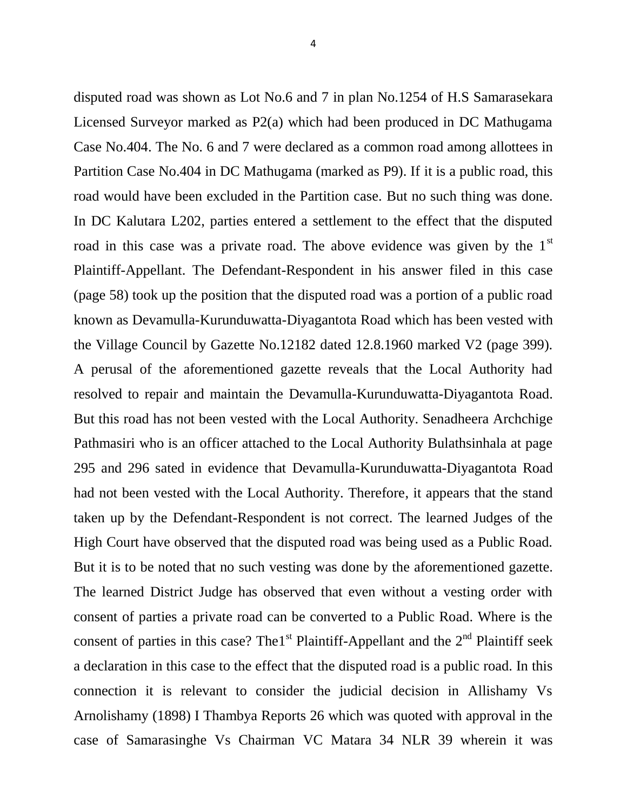disputed road was shown as Lot No.6 and 7 in plan No.1254 of H.S Samarasekara Licensed Surveyor marked as P2(a) which had been produced in DC Mathugama Case No.404. The No. 6 and 7 were declared as a common road among allottees in Partition Case No.404 in DC Mathugama (marked as P9). If it is a public road, this road would have been excluded in the Partition case. But no such thing was done. In DC Kalutara L202, parties entered a settlement to the effect that the disputed road in this case was a private road. The above evidence was given by the  $1<sup>st</sup>$ Plaintiff-Appellant. The Defendant-Respondent in his answer filed in this case (page 58) took up the position that the disputed road was a portion of a public road known as Devamulla-Kurunduwatta-Diyagantota Road which has been vested with the Village Council by Gazette No.12182 dated 12.8.1960 marked V2 (page 399). A perusal of the aforementioned gazette reveals that the Local Authority had resolved to repair and maintain the Devamulla-Kurunduwatta-Diyagantota Road. But this road has not been vested with the Local Authority. Senadheera Archchige Pathmasiri who is an officer attached to the Local Authority Bulathsinhala at page 295 and 296 sated in evidence that Devamulla-Kurunduwatta-Diyagantota Road had not been vested with the Local Authority. Therefore, it appears that the stand taken up by the Defendant-Respondent is not correct. The learned Judges of the High Court have observed that the disputed road was being used as a Public Road. But it is to be noted that no such vesting was done by the aforementioned gazette. The learned District Judge has observed that even without a vesting order with consent of parties a private road can be converted to a Public Road. Where is the consent of parties in this case? The 1<sup>st</sup> Plaintiff-Appellant and the  $2<sup>nd</sup>$  Plaintiff seek a declaration in this case to the effect that the disputed road is a public road. In this connection it is relevant to consider the judicial decision in Allishamy Vs Arnolishamy (1898) I Thambya Reports 26 which was quoted with approval in the case of Samarasinghe Vs Chairman VC Matara 34 NLR 39 wherein it was